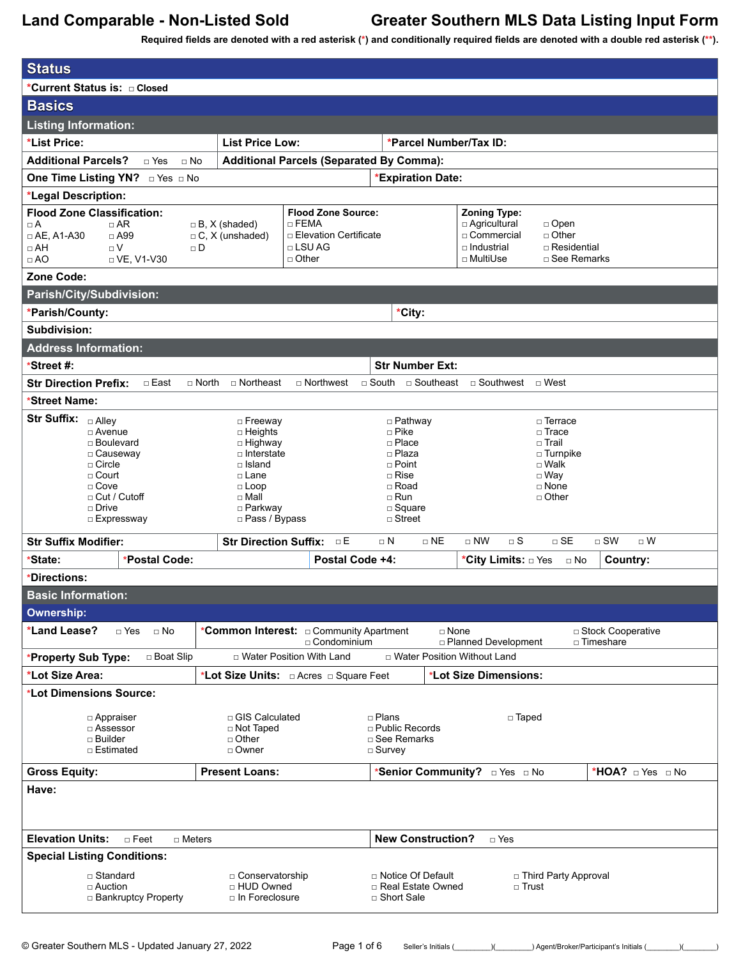| <b>Status</b>                                                                                                                                                                      |                                                                                                                                                        |                                                                                                                                    |                                                                                                                                                      |
|------------------------------------------------------------------------------------------------------------------------------------------------------------------------------------|--------------------------------------------------------------------------------------------------------------------------------------------------------|------------------------------------------------------------------------------------------------------------------------------------|------------------------------------------------------------------------------------------------------------------------------------------------------|
| *Current Status is: a Closed                                                                                                                                                       |                                                                                                                                                        |                                                                                                                                    |                                                                                                                                                      |
| <b>Basics</b>                                                                                                                                                                      |                                                                                                                                                        |                                                                                                                                    |                                                                                                                                                      |
| <b>Listing Information:</b>                                                                                                                                                        |                                                                                                                                                        |                                                                                                                                    |                                                                                                                                                      |
| *List Price:                                                                                                                                                                       | <b>List Price Low:</b>                                                                                                                                 | *Parcel Number/Tax ID:                                                                                                             |                                                                                                                                                      |
| <b>Additional Parcels?</b><br>$\sqcap$ Yes<br>$\sqcap$ No                                                                                                                          |                                                                                                                                                        | <b>Additional Parcels (Separated By Comma):</b>                                                                                    |                                                                                                                                                      |
| One Time Listing YN? DYes DNo                                                                                                                                                      |                                                                                                                                                        | <b>*Expiration Date:</b>                                                                                                           |                                                                                                                                                      |
| *Legal Description:                                                                                                                                                                |                                                                                                                                                        |                                                                                                                                    |                                                                                                                                                      |
| <b>Flood Zone Classification:</b><br>$\sqcap$ AR<br>$\Box$ A<br>$\Box$ AE, A1-A30<br>$\Box$ A99<br>$\sqcap V$<br>$\Box$ AH<br>$\Box$ D<br>□ VE, V1-V30<br>$\Box$ AO<br>Zone Code:  | $\sqcap$ FEMA<br>$\Box$ B, X (shaded)<br>$\Box$ C, X (unshaded)<br>□ LSU AG<br>□ Other                                                                 | <b>Flood Zone Source:</b><br><b>D</b> Elevation Certificate                                                                        | <b>Zoning Type:</b><br>□ Agricultural<br>$\Box$ Open<br>$\Box$ Other<br>□ Commercial<br>□ Industrial<br>□ Residential<br>□ MultiUse<br>□ See Remarks |
| Parish/City/Subdivision:                                                                                                                                                           |                                                                                                                                                        |                                                                                                                                    |                                                                                                                                                      |
| *Parish/County:                                                                                                                                                                    |                                                                                                                                                        | *City:                                                                                                                             |                                                                                                                                                      |
| Subdivision:                                                                                                                                                                       |                                                                                                                                                        |                                                                                                                                    |                                                                                                                                                      |
| <b>Address Information:</b>                                                                                                                                                        |                                                                                                                                                        |                                                                                                                                    |                                                                                                                                                      |
| *Street #:                                                                                                                                                                         |                                                                                                                                                        | <b>Str Number Ext:</b>                                                                                                             |                                                                                                                                                      |
| $n$ East<br><b>Str Direction Prefix:</b><br>$\Box$ North                                                                                                                           | $\sqcap$ Northeast<br>$\Box$ Northwest                                                                                                                 | $\sqcap$ South<br>□ Southeast                                                                                                      | $\Box$ Southwest $\Box$ West                                                                                                                         |
| *Street Name:                                                                                                                                                                      |                                                                                                                                                        |                                                                                                                                    |                                                                                                                                                      |
| <b>Str Suffix:</b><br>$\Box$ Alley<br>□ Avenue<br>□ Boulevard<br>□ Causeway<br>$\Box$ Circle<br>$\Box$ Court<br>$\Box$ Cove<br>$\Box$ Cut / Cutoff<br>$\Box$ Drive<br>□ Expressway | □ Freeway<br>$\Box$ Heights<br>□ Highway<br>$\Box$ Interstate<br>$\Box$ Island<br>□ Lane<br>$\Box$ Loop<br>$\Box$ Mall<br>□ Parkway<br>□ Pass / Bypass | □ Pathway<br>□ Pike<br>$\Box$ Place<br>□ Plaza<br>$\Box$ Point<br>$\Box$ Rise<br>□ Road<br>$\Box$ Run<br>□ Square<br>$\Box$ Street | □ Terrace<br>□ Trace<br>□ Trail<br>□ Turnpike<br>$\square$ Walk<br>$\square$ Way<br>□ None<br>$\Box$ Other                                           |
| <b>Str Suffix Modifier:</b>                                                                                                                                                        | Str Direction Suffix: DE                                                                                                                               | $\Box$ NE<br>$\sqcap$ N                                                                                                            | $\Box$ NW<br>$\Box$ S<br>$\sqcap$ SE<br>$\Box$ SW<br>$\Box$ W                                                                                        |
| *Postal Code:<br>*State:                                                                                                                                                           |                                                                                                                                                        | Postal Code +4:                                                                                                                    | *City Limits: DYes<br>Country:<br>$\Box$ No                                                                                                          |
| *Directions:                                                                                                                                                                       |                                                                                                                                                        |                                                                                                                                    |                                                                                                                                                      |
| <b>Basic Information:</b>                                                                                                                                                          |                                                                                                                                                        |                                                                                                                                    |                                                                                                                                                      |
| <b>Ownership:</b>                                                                                                                                                                  |                                                                                                                                                        |                                                                                                                                    |                                                                                                                                                      |
| *Land Lease?<br>$\Box$ No<br>□ Yes                                                                                                                                                 |                                                                                                                                                        | $\Box$ None<br>□ Condominium                                                                                                       | □ Stock Cooperative<br>□ Planned Development<br>□ Timeshare                                                                                          |
| □ Boat Slip<br>*Property Sub Type:                                                                                                                                                 | □ Water Position With Land                                                                                                                             | □ Water Position Without Land                                                                                                      |                                                                                                                                                      |
| *Lot Size Area:                                                                                                                                                                    |                                                                                                                                                        |                                                                                                                                    | *Lot Size Dimensions:                                                                                                                                |
| *Lot Dimensions Source:<br>□ Appraiser<br>□ Assessor<br>□ Builder<br>□ Estimated                                                                                                   | □ GIS Calculated<br>□ Not Taped<br>□ Other<br>□ Owner                                                                                                  | □ Plans<br>$\Box$ Public Records<br>□ See Remarks<br>□ Survey                                                                      | □ Taped                                                                                                                                              |
| <b>Gross Equity:</b>                                                                                                                                                               | <b>Present Loans:</b>                                                                                                                                  | *Senior Community? <b>Dies</b> DNo                                                                                                 | *HOA? $\Box$ Yes $\Box$ No                                                                                                                           |
| Have:                                                                                                                                                                              |                                                                                                                                                        |                                                                                                                                    |                                                                                                                                                      |
| <b>Elevation Units:</b><br>$\Box$ Feet<br>$\Box$ Meters                                                                                                                            |                                                                                                                                                        | <b>New Construction?</b>                                                                                                           | $\Box$ Yes                                                                                                                                           |
| <b>Special Listing Conditions:</b>                                                                                                                                                 |                                                                                                                                                        |                                                                                                                                    |                                                                                                                                                      |
| □ Standard<br>$\Box$ Auction<br>□ Bankruptcy Property                                                                                                                              | □ Conservatorship<br>□ HUD Owned<br>□ In Foreclosure                                                                                                   | □ Notice Of Default<br>□ Real Estate Owned<br>□ Short Sale                                                                         | □ Third Party Approval<br>□ Trust                                                                                                                    |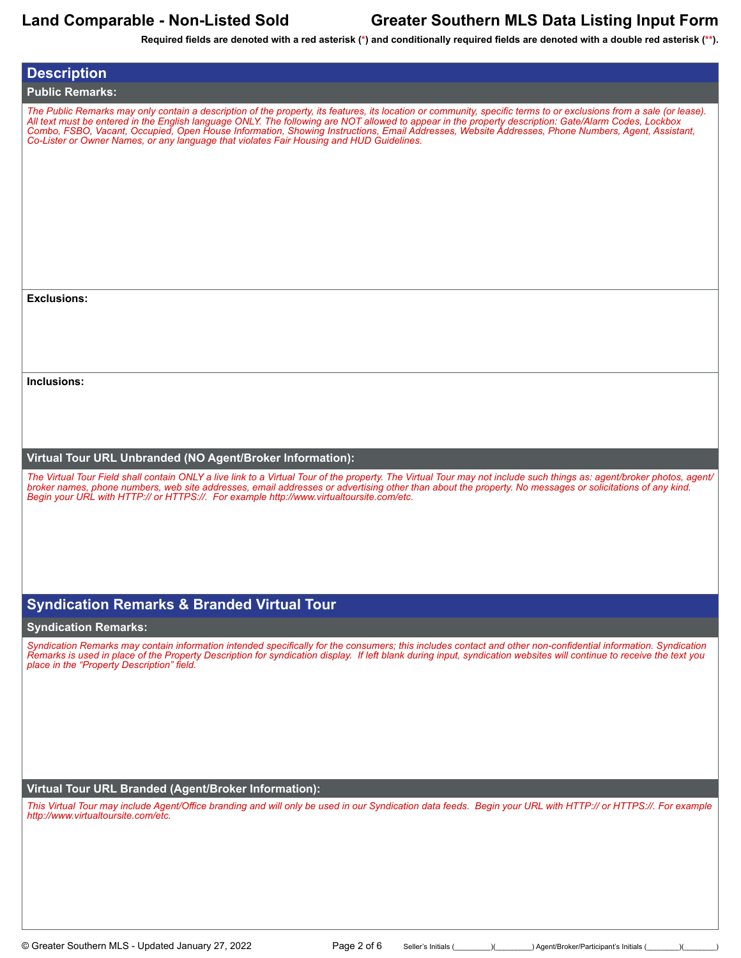| <b>Description</b>                                                                                                                                                                                                                                                                                                                                                                                                                                                                                                                                                            |
|-------------------------------------------------------------------------------------------------------------------------------------------------------------------------------------------------------------------------------------------------------------------------------------------------------------------------------------------------------------------------------------------------------------------------------------------------------------------------------------------------------------------------------------------------------------------------------|
| <b>Public Remarks:</b>                                                                                                                                                                                                                                                                                                                                                                                                                                                                                                                                                        |
| The Public Remarks may only contain a description of the property, its features, its location or community, specific terms to or exclusions from a sale (or lease).<br>All text must be entered in the English language ONLY. The following are NOT allowed to appear in the property description: Gate/Alarm Codes, Lockbox<br>Combo, FSBO, Vacant, Occupied, Open House Information, Showing Instructions, Email Addresses, Website Addresses, Phone Numbers, Agent, Assistant,<br>Co-Lister or Owner Names, or any language that violates Fair Housing and HUD Guidelines. |
| <b>Exclusions:</b>                                                                                                                                                                                                                                                                                                                                                                                                                                                                                                                                                            |
|                                                                                                                                                                                                                                                                                                                                                                                                                                                                                                                                                                               |
|                                                                                                                                                                                                                                                                                                                                                                                                                                                                                                                                                                               |
|                                                                                                                                                                                                                                                                                                                                                                                                                                                                                                                                                                               |
|                                                                                                                                                                                                                                                                                                                                                                                                                                                                                                                                                                               |
| Inclusions:                                                                                                                                                                                                                                                                                                                                                                                                                                                                                                                                                                   |
|                                                                                                                                                                                                                                                                                                                                                                                                                                                                                                                                                                               |
|                                                                                                                                                                                                                                                                                                                                                                                                                                                                                                                                                                               |
|                                                                                                                                                                                                                                                                                                                                                                                                                                                                                                                                                                               |
| Virtual Tour URL Unbranded (NO Agent/Broker Information):<br>The Virtual Tour Field shall contain ONLY a live link to a Virtual Tour of the property. The Virtual Tour may not include such things as: agent/broker photos, agent/<br>broker names, phone numbers, web site addresses, email addresses or advertising other than about the property. No messages or solicitations of any kind.<br>Begin your URL with HTTP:// or HTTPS://. For example http://www.virtualtoursite.com/etc.                                                                                    |
|                                                                                                                                                                                                                                                                                                                                                                                                                                                                                                                                                                               |
| <b>Syndication Remarks &amp; Branded Virtual Tour</b>                                                                                                                                                                                                                                                                                                                                                                                                                                                                                                                         |
| <b>Syndication Remarks:</b>                                                                                                                                                                                                                                                                                                                                                                                                                                                                                                                                                   |
| Syndication Remarks may contain information intended specifically for the consumers; this includes contact and other non-confidential information. Syndication<br>Remarks is used in place of the Property Description for syndication display. If left blank during input, syndication websites will continue to receive the text you<br>place in the "Property Description" field.                                                                                                                                                                                          |
|                                                                                                                                                                                                                                                                                                                                                                                                                                                                                                                                                                               |
|                                                                                                                                                                                                                                                                                                                                                                                                                                                                                                                                                                               |
|                                                                                                                                                                                                                                                                                                                                                                                                                                                                                                                                                                               |
|                                                                                                                                                                                                                                                                                                                                                                                                                                                                                                                                                                               |
|                                                                                                                                                                                                                                                                                                                                                                                                                                                                                                                                                                               |
| Virtual Tour URL Branded (Agent/Broker Information):<br>This Virtual Tour may include Agent/Office branding and will only be used in our Syndication data feeds. Begin your URL with HTTP:// or HTTPS://. For example                                                                                                                                                                                                                                                                                                                                                         |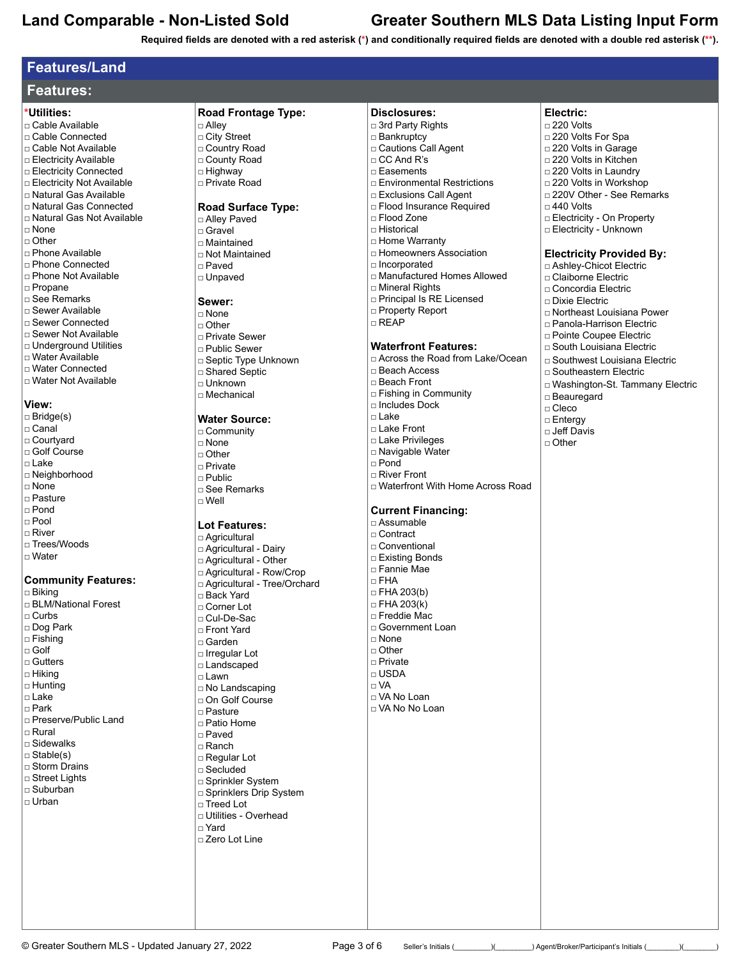**Required fields are denoted with a red asterisk (\*) and conditionally required fields are denoted with a double red asterisk (\*\*).**

## **Features/Land**

| <b>Features:</b> |
|------------------|
|------------------|

### **\*Utilities:**

□ Cable Available □ Cable Connected

- □ Cable Not Available □ Electricity Available
- □ Electricity Connected
- □ Electricity Not Available
- □ Natural Gas Available
- □ Natural Gas Connected
- □ Natural Gas Not Available
- □ None
- □ Other
- □ Phone Available
- □ Phone Connected □ Phone Not Available
- □ Propane
- □ See Remarks
- □ Sewer Available
- □ Sewer Connected
- □ Sewer Not Available
- □ Underground Utilities
- □ Water Available
- □ Water Connected
- □ Water Not Available

### **View:**

### □ Bridge(s)

- □ Canal
- □ Courtyard
- □ Golf Course
- $\n <sup>L</sup>$  ake
- □ Neighborhood
- □ None
- □ Pasture
- □ Pond
- □ Pool
- □ River
- □ Trees/Woods
- □ Water

### **Community Features:**

□ Biking □ BLM/National Forest □ Curbs □ Dog Park □ Fishing □ Golf □ Gutters □ Hiking □ Hunting □ Lake □ Park □ Preserve/Public Land □ Rural □ Sidewalks □ Stable(s) □ Storm Drains □ Street Lights □ Suburban □ Urban

□ Country Road □ County Road □ Highway □ Private Road **Road Surface Type:** □ Alley Paved □ Gravel □ Maintained □ Not Maintained □ Paved

**Road Frontage Type:**

□ Unpaved

## **Sewer:**

□ Alley □ City Street

- □ None
- 
- □ Other
- □ Private Sewer
- □ Public Sewer
- □ Septic Type Unknown
- □ Shared Septic
- □ Unknown
- □ Mechanical

### **Water Source:**

- □ Community
- □ None
- □ Other
- □ Private
- $\neg$  Public
- □ See Remarks
- □ Well

### **Lot Features:**

□ Agricultural □ Agricultural - Dairy □ Agricultural - Other □ Agricultural - Row/Crop □ Agricultural - Tree/Orchard □ Back Yard □ Corner Lot □ Cul-De-Sac □ Front Yard □ Garden □ Irregular Lot □ Landscaped □ Lawn □ No Landscaping □ On Golf Course □ Pasture □ Patio Home □ Paved □ Ranch □ Regular Lot □ Secluded □ Sprinkler System □ Sprinklers Drip System □ Treed Lot □ Utilities - Overhead □ Yard □ Zero Lot Line

| □ Bankruptcy                 |
|------------------------------|
| □ Cautions Call Agent        |
| $\Box$ CC And R's            |
| □ Easements                  |
| □ Environmental Restrictions |
| □ Exclusions Call Agent      |
| □ Flood Insurance Required   |
| □ Flood Zone                 |
| □ Historical                 |
| □ Home Warranty              |
| □ Homeowners Association     |
| □ Incorporated               |
| □ Manufactured Homes Allowed |
| □ Mineral Rights             |
| □ Principal Is RE Licensed   |
| □ Property Report            |

**Disclosures:** □ 3rd Party Rights

## □ REAP

## **Waterfront Features:**

- □ Across the Road from Lake/Ocean
- □ Beach Access
- □ Beach Front
- □ Fishing in Community
- □ Includes Dock
- □ Lake
- □ Lake Front
- □ Lake Privileges
- □ Navigable Water
- □ Pond □ River Front
- □ Waterfront With Home Across Road

### **Current Financing:**

□ Assumable □ Contract □ Conventional □ Existing Bonds □ Fannie Mae □ FHA □ FHA 203(b)  $\Box$  FHA 203(k) □ Freddie Mac □ Government Loan □ None □ Other □ Private □ USDA □ VA □ VA No Loan □ VA No No Loan

© Greater Southern MLS - Updated January 27, 2022 Page 3 of 6 Seller's Initials (\_\_\_\_\_\_)(\_\_\_\_\_\_\_) Agent/Broker/Participant's Initials (\_\_\_\_\_\_\_)(\_\_\_\_\_\_\_\_\_\_\_\_\_\_)

## **Electric:**

- □ 220 Volts
- □ 220 Volts For Spa
- □ 220 Volts in Garage
- □ 220 Volts in Kitchen
- □ 220 Volts in Laundry
- □ 220 Volts in Workshop
- □ 220V Other See Remarks
	-
- □ 440 Volts
- □ Electricity On Property
- □ Electricity Unknown

### **Electricity Provided By:**

- □ Ashley-Chicot Electric
- □ Claiborne Electric
- □ Concordia Electric
- □ Dixie Electric

□ Beauregard □ Cleco □ Entergy □ Jeff Davis □ Other

□ Northeast Louisiana Power

□ Southwest Louisiana Electric □ Southeastern Electric

□ Washington-St. Tammany Electric

- □ Panola-Harrison Electric
- □ Pointe Coupee Electric □ South Louisiana Electric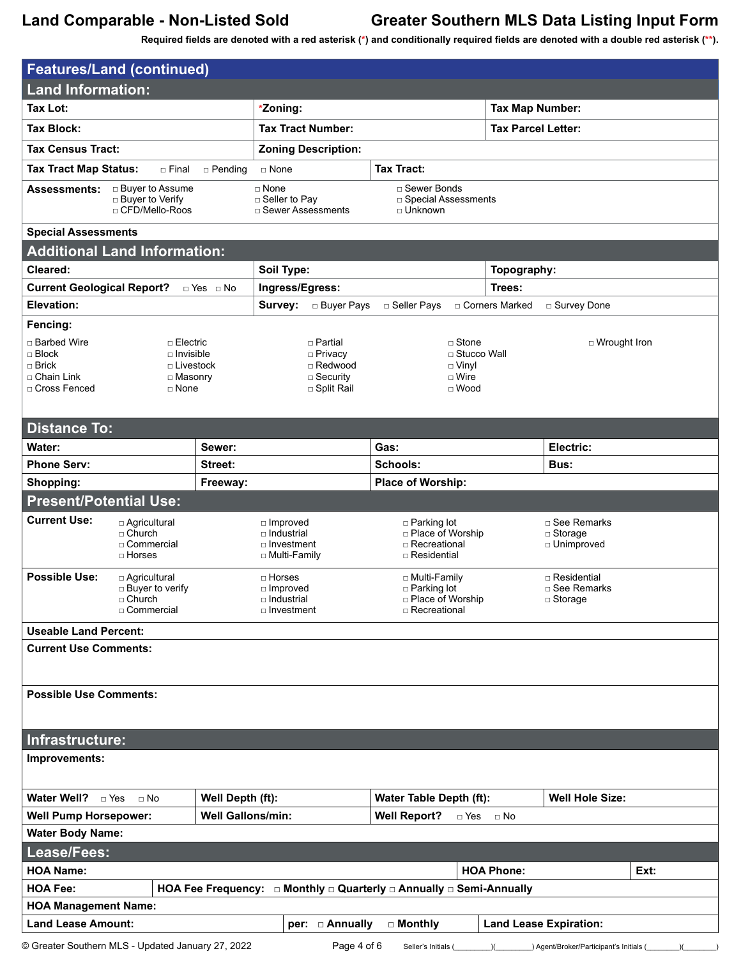| <b>Features/Land (continued)</b>                                                                                                                          |                          |                                                                           |                                                                         |                               |                                                  |      |
|-----------------------------------------------------------------------------------------------------------------------------------------------------------|--------------------------|---------------------------------------------------------------------------|-------------------------------------------------------------------------|-------------------------------|--------------------------------------------------|------|
| <b>Land Information:</b>                                                                                                                                  |                          |                                                                           |                                                                         |                               |                                                  |      |
| <b>Tax Lot:</b>                                                                                                                                           |                          | *Zoning:                                                                  |                                                                         | <b>Tax Map Number:</b>        |                                                  |      |
| Tax Block:                                                                                                                                                |                          | <b>Tax Tract Number:</b>                                                  |                                                                         |                               | <b>Tax Parcel Letter:</b>                        |      |
| <b>Tax Census Tract:</b>                                                                                                                                  |                          | <b>Zoning Description:</b>                                                |                                                                         |                               |                                                  |      |
| <b>Tax Tract Map Status:</b><br>□ Final                                                                                                                   | $\Box$ Pending           | □ None                                                                    | <b>Tax Tract:</b>                                                       |                               |                                                  |      |
| □ Buyer to Assume<br><b>Assessments:</b><br>□ Buyer to Verify<br>□ CFD/Mello-Roos                                                                         |                          | □ None<br>□ Seller to Pay<br>□ Sewer Assessments                          | □ Sewer Bonds<br>□ Special Assessments<br>□ Unknown                     |                               |                                                  |      |
| <b>Special Assessments</b>                                                                                                                                |                          |                                                                           |                                                                         |                               |                                                  |      |
| <b>Additional Land Information:</b>                                                                                                                       |                          |                                                                           |                                                                         |                               |                                                  |      |
| Cleared:                                                                                                                                                  |                          | Soil Type:                                                                |                                                                         | Topography:                   |                                                  |      |
| <b>Current Geological Report?</b>                                                                                                                         | $\Box$ Yes $\Box$ No     | Ingress/Egress:                                                           |                                                                         | Trees:                        |                                                  |      |
| Elevation:                                                                                                                                                |                          | Survey:<br>□ Buyer Pays                                                   | □ Seller Pays                                                           | □ Corners Marked              | □ Survey Done                                    |      |
| Fencing:<br>□ Barbed Wire<br>□ Electric<br>$\Box$ Block<br>$\Box$ Invisible<br>$\Box$ Brick<br>□ Chain Link<br>□ Masonry<br>□ Cross Fenced<br>$\Box$ None | □ Livestock              | □ Partial<br>□ Privacy<br>□ Redwood<br>$\square$ Security<br>□ Split Rail | $\Box$ Stone<br>$\Box$ Vinyl<br>$\Box$ Wire<br>$\Box$ Wood              | □ Stucco Wall                 | □ Wrought Iron                                   |      |
| <b>Distance To:</b>                                                                                                                                       |                          |                                                                           |                                                                         |                               |                                                  |      |
| Water:                                                                                                                                                    | Sewer:                   |                                                                           | Gas:                                                                    |                               | Electric:                                        |      |
| <b>Phone Serv:</b>                                                                                                                                        | Street:                  |                                                                           | Schools:                                                                |                               | Bus:                                             |      |
| Shopping:                                                                                                                                                 | Freeway:                 |                                                                           | Place of Worship:                                                       |                               |                                                  |      |
| <b>Present/Potential Use:</b>                                                                                                                             |                          |                                                                           |                                                                         |                               |                                                  |      |
| <b>Current Use:</b><br>□ Agricultural<br>$\sqcap$ Church<br>□ Commercial<br>$\Box$ Horses                                                                 |                          | $\Box$ Improved<br>$\Box$ Industrial<br>□ Investment<br>□ Multi-Family    | □ Parking lot<br>□ Place of Worship<br>□ Recreational<br>□ Residential  |                               | □ See Remarks<br>$\Box$ Storage<br>□ Unimproved  |      |
| <b>Possible Use:</b><br>□ Agricultural<br>$\Box$ Buyer to verify<br>□ Church<br>□ Commercial                                                              |                          | □ Horses<br>□ Improved<br>□ Industrial<br>□ Investment                    | □ Multi-Family<br>□ Parking lot<br>□ Place of Worship<br>□ Recreational |                               | □ Residential<br>□ See Remarks<br>$\Box$ Storage |      |
| <b>Useable Land Percent:</b>                                                                                                                              |                          |                                                                           |                                                                         |                               |                                                  |      |
| <b>Current Use Comments:</b>                                                                                                                              |                          |                                                                           |                                                                         |                               |                                                  |      |
| <b>Possible Use Comments:</b>                                                                                                                             |                          |                                                                           |                                                                         |                               |                                                  |      |
| Infrastructure:                                                                                                                                           |                          |                                                                           |                                                                         |                               |                                                  |      |
| Improvements:                                                                                                                                             |                          |                                                                           |                                                                         |                               |                                                  |      |
| Water Well? DYes<br>$\Box$ No                                                                                                                             | Well Depth (ft):         |                                                                           | Water Table Depth (ft):                                                 |                               | <b>Well Hole Size:</b>                           |      |
| <b>Well Pump Horsepower:</b>                                                                                                                              | <b>Well Gallons/min:</b> |                                                                           | <b>Well Report?</b>                                                     | $\Box$ Yes<br>⊟ No            |                                                  |      |
| <b>Water Body Name:</b>                                                                                                                                   |                          |                                                                           |                                                                         |                               |                                                  |      |
| Lease/Fees:                                                                                                                                               |                          |                                                                           |                                                                         |                               |                                                  |      |
| <b>HOA Name:</b>                                                                                                                                          |                          |                                                                           |                                                                         | <b>HOA Phone:</b>             |                                                  | Ext: |
| HOA Fee Frequency: $\Box$ Monthly $\Box$ Quarterly $\Box$ Annually $\Box$ Semi-Annually<br><b>HOA Fee:</b>                                                |                          |                                                                           |                                                                         |                               |                                                  |      |
| <b>HOA Management Name:</b>                                                                                                                               |                          |                                                                           |                                                                         |                               |                                                  |      |
| <b>Land Lease Amount:</b>                                                                                                                                 |                          | per: $\Box$ Annually                                                      | □ Monthly                                                               | <b>Land Lease Expiration:</b> |                                                  |      |
| © Greater Southern MLS - Updated January 27, 2022                                                                                                         |                          | Page 4 of 6                                                               | Seller's Initials (                                                     |                               | ) Agent/Broker/Participant's Initials            |      |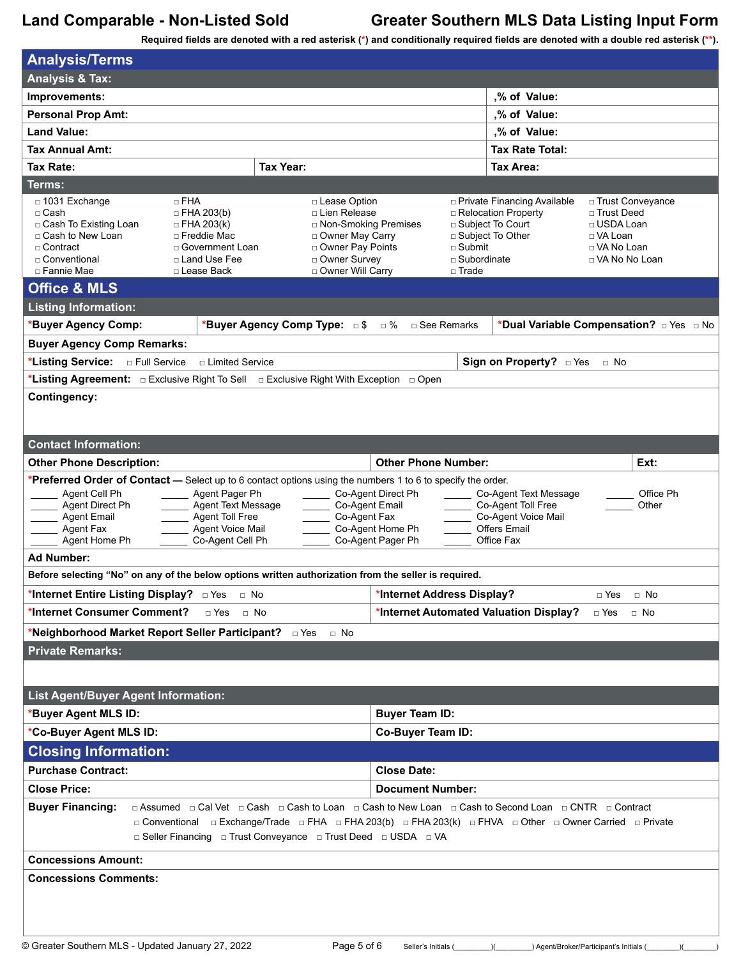**Analysis/Terms**

# **Land Comparable - Non-Listed Sold Greater Southern MLS Data Listing Input Form**

| Alidiyələ/Terrilə                                                                                                                                                                                                                                                                                                                                                                                                                                                                                                                        |                                                                                                                                             |                                                              |                                                                                                    |                                                                                                   |  |
|------------------------------------------------------------------------------------------------------------------------------------------------------------------------------------------------------------------------------------------------------------------------------------------------------------------------------------------------------------------------------------------------------------------------------------------------------------------------------------------------------------------------------------------|---------------------------------------------------------------------------------------------------------------------------------------------|--------------------------------------------------------------|----------------------------------------------------------------------------------------------------|---------------------------------------------------------------------------------------------------|--|
| <b>Analysis &amp; Tax:</b>                                                                                                                                                                                                                                                                                                                                                                                                                                                                                                               |                                                                                                                                             |                                                              |                                                                                                    |                                                                                                   |  |
| Improvements:                                                                                                                                                                                                                                                                                                                                                                                                                                                                                                                            |                                                                                                                                             |                                                              | ,% of Value:                                                                                       |                                                                                                   |  |
| <b>Personal Prop Amt:</b>                                                                                                                                                                                                                                                                                                                                                                                                                                                                                                                |                                                                                                                                             |                                                              | ,% of Value:                                                                                       |                                                                                                   |  |
| <b>Land Value:</b>                                                                                                                                                                                                                                                                                                                                                                                                                                                                                                                       |                                                                                                                                             |                                                              | ,% of Value:                                                                                       |                                                                                                   |  |
| Tax Annual Amt:                                                                                                                                                                                                                                                                                                                                                                                                                                                                                                                          |                                                                                                                                             |                                                              | <b>Tax Rate Total:</b>                                                                             |                                                                                                   |  |
| <b>Tax Year:</b><br>Tax Rate:                                                                                                                                                                                                                                                                                                                                                                                                                                                                                                            |                                                                                                                                             |                                                              | Tax Area:                                                                                          |                                                                                                   |  |
| Terms:                                                                                                                                                                                                                                                                                                                                                                                                                                                                                                                                   |                                                                                                                                             |                                                              |                                                                                                    |                                                                                                   |  |
| $\Box$ FHA<br>$\Box$ 1031 Exchange<br>$\Box$ FHA 203(b)<br>$\sqcap$ Cash<br>□ Cash To Existing Loan<br>$\Box$ FHA 203(k)<br>□ Cash to New Loan<br>□ Freddie Mac<br>□ Contract<br>□ Government Loan<br>□ Land Use Fee<br>□ Conventional<br>□ Fannie Mae<br>□ Lease Back<br><b>Office &amp; MLS</b>                                                                                                                                                                                                                                        | □ Lease Option<br>□ Lien Release<br>□ Non-Smoking Premises<br>□ Owner May Carry<br>□ Owner Pay Points<br>Owner Survey<br>□ Owner Will Carry | □ Submit<br>□ Subordinate<br>□ Trade                         | □ Private Financing Available<br>□ Relocation Property<br>□ Subject To Court<br>□ Subject To Other | □ Trust Conveyance<br>□ Trust Deed<br>□ USDA Loan<br>□ VA Loan<br>□ VA No Loan<br>□ VA No No Loan |  |
| <b>Listing Information:</b>                                                                                                                                                                                                                                                                                                                                                                                                                                                                                                              |                                                                                                                                             |                                                              |                                                                                                    |                                                                                                   |  |
| *Buyer Agency Comp:                                                                                                                                                                                                                                                                                                                                                                                                                                                                                                                      | *Buyer Agency Comp Type: $5 \times 10^8$ Buyer Agenarks                                                                                     |                                                              |                                                                                                    | *Dual Variable Compensation? DYes DNo                                                             |  |
| <b>Buyer Agency Comp Remarks:</b>                                                                                                                                                                                                                                                                                                                                                                                                                                                                                                        |                                                                                                                                             |                                                              |                                                                                                    |                                                                                                   |  |
| *Listing Service: <b>Detail Service</b><br>□ Limited Service                                                                                                                                                                                                                                                                                                                                                                                                                                                                             |                                                                                                                                             |                                                              | Sign on Property? DYes                                                                             | $\Box$ No                                                                                         |  |
|                                                                                                                                                                                                                                                                                                                                                                                                                                                                                                                                          |                                                                                                                                             |                                                              |                                                                                                    |                                                                                                   |  |
| <b>Contingency:</b>                                                                                                                                                                                                                                                                                                                                                                                                                                                                                                                      |                                                                                                                                             |                                                              |                                                                                                    |                                                                                                   |  |
|                                                                                                                                                                                                                                                                                                                                                                                                                                                                                                                                          |                                                                                                                                             |                                                              |                                                                                                    |                                                                                                   |  |
| <b>Contact Information:</b>                                                                                                                                                                                                                                                                                                                                                                                                                                                                                                              |                                                                                                                                             |                                                              |                                                                                                    |                                                                                                   |  |
| <b>Other Phone Description:</b>                                                                                                                                                                                                                                                                                                                                                                                                                                                                                                          | <b>Other Phone Number:</b>                                                                                                                  |                                                              |                                                                                                    | Ext:                                                                                              |  |
| *Preferred Order of Contact - Select up to 6 contact options using the numbers 1 to 6 to specify the order.<br>Agent Cell Ph<br>Agent Pager Ph<br>Co-Agent Direct Ph<br>Co-Agent Text Message<br>Office Ph<br>Agent Text Message<br>Co-Agent Email<br>Co-Agent Toll Free<br>Agent Direct Ph<br>Other<br>Agent Toll Free<br>Co-Agent Fax<br>Co-Agent Voice Mail<br><b>Agent Email</b><br>Agent Voice Mail<br>Co-Agent Home Ph<br><b>Offers Email</b><br>Agent Fax<br>Co-Agent Cell Ph<br>Co-Agent Pager Ph<br>Agent Home Ph<br>Office Fax |                                                                                                                                             |                                                              |                                                                                                    |                                                                                                   |  |
| <b>Ad Number:</b>                                                                                                                                                                                                                                                                                                                                                                                                                                                                                                                        |                                                                                                                                             |                                                              |                                                                                                    |                                                                                                   |  |
| Before selecting "No" on any of the below options written authorization from the seller is required.                                                                                                                                                                                                                                                                                                                                                                                                                                     |                                                                                                                                             |                                                              |                                                                                                    |                                                                                                   |  |
| *Internet Entire Listing Display? <b>Dives</b> D No<br>*Internet Address Display?<br>□ Yes<br>$\Box$ No                                                                                                                                                                                                                                                                                                                                                                                                                                  |                                                                                                                                             |                                                              |                                                                                                    |                                                                                                   |  |
| *Internet Consumer Comment?<br>□ Yes<br>$\Box$ No                                                                                                                                                                                                                                                                                                                                                                                                                                                                                        |                                                                                                                                             | *Internet Automated Valuation Display?<br>□ Yes<br>$\Box$ No |                                                                                                    |                                                                                                   |  |
| *Neighborhood Market Report Seller Participant? DYes D No                                                                                                                                                                                                                                                                                                                                                                                                                                                                                |                                                                                                                                             |                                                              |                                                                                                    |                                                                                                   |  |
| <b>Private Remarks:</b>                                                                                                                                                                                                                                                                                                                                                                                                                                                                                                                  |                                                                                                                                             |                                                              |                                                                                                    |                                                                                                   |  |
|                                                                                                                                                                                                                                                                                                                                                                                                                                                                                                                                          |                                                                                                                                             |                                                              |                                                                                                    |                                                                                                   |  |
|                                                                                                                                                                                                                                                                                                                                                                                                                                                                                                                                          |                                                                                                                                             |                                                              |                                                                                                    |                                                                                                   |  |
| <b>List Agent/Buyer Agent Information:</b>                                                                                                                                                                                                                                                                                                                                                                                                                                                                                               |                                                                                                                                             |                                                              |                                                                                                    |                                                                                                   |  |
| *Buyer Agent MLS ID:<br><b>Buyer Team ID:</b>                                                                                                                                                                                                                                                                                                                                                                                                                                                                                            |                                                                                                                                             |                                                              |                                                                                                    |                                                                                                   |  |
| *Co-Buyer Agent MLS ID:<br>Co-Buyer Team ID:                                                                                                                                                                                                                                                                                                                                                                                                                                                                                             |                                                                                                                                             |                                                              |                                                                                                    |                                                                                                   |  |
| <b>Closing Information:</b>                                                                                                                                                                                                                                                                                                                                                                                                                                                                                                              |                                                                                                                                             |                                                              |                                                                                                    |                                                                                                   |  |
| <b>Purchase Contract:</b><br><b>Close Date:</b>                                                                                                                                                                                                                                                                                                                                                                                                                                                                                          |                                                                                                                                             |                                                              |                                                                                                    |                                                                                                   |  |
| <b>Close Price:</b>                                                                                                                                                                                                                                                                                                                                                                                                                                                                                                                      | <b>Document Number:</b>                                                                                                                     |                                                              |                                                                                                    |                                                                                                   |  |
| <b>Buyer Financing:</b><br>□ Assumed □ Cal Vet □ Cash □ Cash to Loan □ Cash to New Loan □ Cash to Second Loan □ CNTR □ Contract<br>□ Conventional □ Exchange/Trade □ FHA □ FHA 203(b) □ FHA 203(k) □ FHVA □ Other □ Owner Carried □ Private<br>□ Seller Financing □ Trust Conveyance □ Trust Deed □ USDA □ VA                                                                                                                                                                                                                            |                                                                                                                                             |                                                              |                                                                                                    |                                                                                                   |  |
| <b>Concessions Amount:</b>                                                                                                                                                                                                                                                                                                                                                                                                                                                                                                               |                                                                                                                                             |                                                              |                                                                                                    |                                                                                                   |  |
| <b>Concessions Comments:</b>                                                                                                                                                                                                                                                                                                                                                                                                                                                                                                             |                                                                                                                                             |                                                              |                                                                                                    |                                                                                                   |  |